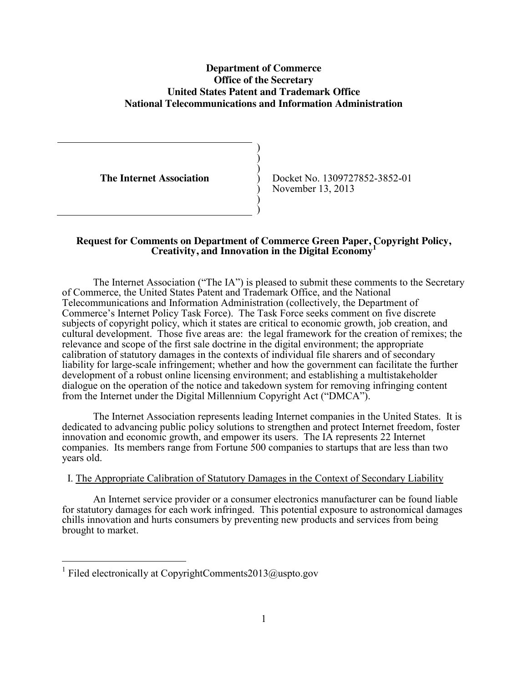# **Department of Commerce Office of the Secretary United States Patent and Trademark Office National Telecommunications and Information Administration**

) ) ) ) ) ) )

**The Internet Association**

Docket No. 1309727852-3852-01 November 13, 2013

### **Request for Comments on Department of Commerce Green Paper, Copyright Policy, Creativity, and Innovation in the Digital Economy<sup>1</sup>**

The Internet Association ("The IA") is pleased to submit these comments to the Secretary of Commerce, the United States Patent and Trademark Office, and the National Telecommunications and Information Administration (collectively, the Department of Commerce's Internet Policy Task Force). The Task Force seeks comment on five discrete subjects of copyright policy, which it states are critical to economic growth, job creation, and cultural development. Those five areas are: the legal framework for the creation of remixes; the relevance and scope of the first sale doctrine in the digital environment; the appropriate calibration of statutory damages in the contexts of individual file sharers and of secondary liability for large-scale infringement; whether and how the government can facilitate the further development of a robust online licensing environment; and establishing a multistakeholder dialogue on the operation of the notice and takedown system for removing infringing content from the Internet under the Digital Millennium Copyright Act ("DMCA").

The Internet Association represents leading Internet companies in the United States. It is dedicated to advancing public policy solutions to strengthen and protect Internet freedom, foster innovation and economic growth, and empower its users. The IA represents 22 Internet companies. Its members range from Fortune 500 companies to startups that are less than two years old.

# I. The Appropriate Calibration of Statutory Damages in the Context of Secondary Liability

An Internet service provider or a consumer electronics manufacturer can be found liable for statutory damages for each work infringed. This potential exposure to astronomical damages chills innovation and hurts consumers by preventing new products and services from being brought to market.

<sup>&</sup>lt;sup>1</sup> Filed electronically at CopyrightComments2013@uspto.gov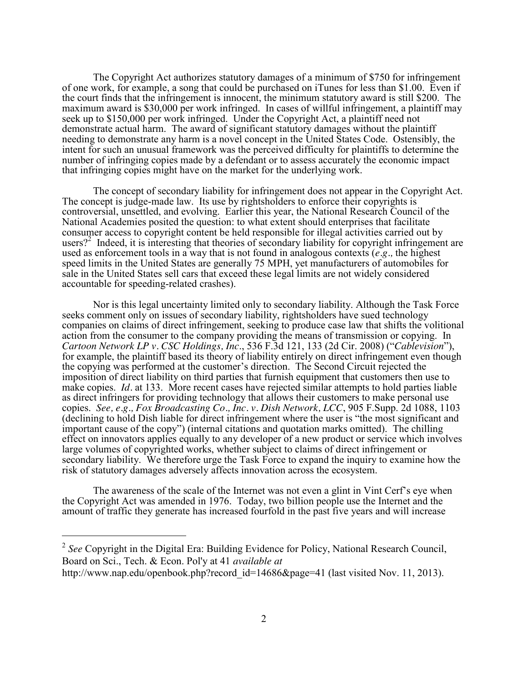The Copyright Act authorizes statutory damages of a minimum of \$750 for infringement of one work, for example, a song that could be purchased on iTunes for less than \$1.00. Even if the court finds that the infringement is innocent, the minimum statutory award is still \$200. The maximum award is \$30,000 per work infringed. In cases of willful infringement, a plaintiff may seek up to \$150,000 per work infringed. Under the Copyright Act, a plaintiff need not demonstrate actual harm. The award of significant statutory damages without the plaintiff needing to demonstrate any harm is a novel concept in the United States Code. Ostensibly, the intent for such an unusual framework was the perceived difficulty for plaintiffs to determine the number of infringing copies made by a defendant or to assess accurately the economic impact that infringing copies might have on the market for the underlying work.

The concept of secondary liability for infringement does not appear in the Copyright Act. The concept is judge-made law. Its use by rightsholders to enforce their copyrights is controversial, unsettled, and evolving. Earlier this year, the National Research Council of the National Academies posited the question: to what extent should enterprises that facilitate consumer access to copyright content be held responsible for illegal activities carried out by users?<sup>2</sup> Indeed, it is interesting that theories of secondary liability for copyright infringement are used as enforcement tools in a way that is not found in analogous contexts (*e.g.,* the highest speed limits in the United States are generally 75 MPH, yet manufacturers of automobiles for sale in the United States sell cars that exceed these legal limits are not widely considered accountable for speeding-related crashes).

Nor is this legal uncertainty limited only to secondary liability. Although the Task Force seeks comment only on issues of secondary liability, rightsholders have sued technology companies on claims of direct infringement, seeking to produce case law that shifts the volitional action from the consumer to the company providing the means of transmission or copying. In *Cartoon Network LP v. CSC Holdings, Inc*., 536 F.3d 121, 133 (2d Cir. 2008) ("*Cablevision*"), for example, the plaintiff based its theory of liability entirely on direct infringement even though the copying was performed at the customer's direction. The Second Circuit rejected the imposition of direct liability on third parties that furnish equipment that customers then use to make copies. *Id.* at 133. More recent cases have rejected similar attempts to hold parties liable as direct infringers for providing technology that allows their customers to make personal use copies. *See, e.g., Fox Broadcasting Co., Inc. v. Dish Network, LCC*, 905 F.Supp. 2d 1088, 1103 (declining to hold Dish liable for direct infringement where the user is "the most significant and important cause of the copy") (internal citations and quotation marks omitted). The chilling effect on innovators applies equally to any developer of a new product or service which involves large volumes of copyrighted works, whether subject to claims of direct infringement or secondary liability. We therefore urge the Task Force to expand the inquiry to examine how the risk of statutory damages adversely affects innovation across the ecosystem.

The awareness of the scale of the Internet was not even a glint in Vint Cerf's eye when the Copyright Act was amended in 1976. Today, two billion people use the Internet and the amount of traffic they generate has increased fourfold in the past five years and will increase

 <sup>2</sup> *See* Copyright in the Digital Era: Building Evidence for Policy, National Research Council, Board on Sci., Tech. & Econ. Pol'y at 41 *available at* http://www.nap.edu/openbook.php?record\_id=14686&page=41 (last visited Nov. 11, 2013).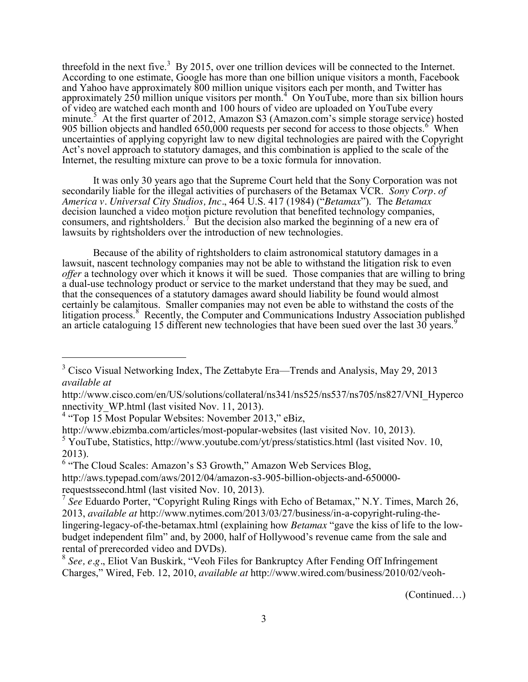threefold in the next five.<sup>3</sup> By 2015, over one trillion devices will be connected to the Internet. According to one estimate, Google has more than one billion unique visitors a month, Facebook and Yahoo have approximately 800 million unique visitors each per month, and Twitter has approximately  $250$  million unique visitors per month.<sup>4</sup> On YouTube, more than six billion hours of video are watched each month and 100 hours of video are uploaded on YouTube every minute.<sup>5</sup> At the first quarter of 2012, Amazon S3 (Amazon.com's simple storage service) hosted 905 billion objects and handled 650,000 requests per second for access to those objects.<sup>6</sup> When uncertainties of applying copyright law to new digital technologies are paired with the Copyright Act's novel approach to statutory damages, and this combination is applied to the scale of the Internet, the resulting mixture can prove to be a toxic formula for innovation.

It was only 30 years ago that the Supreme Court held that the Sony Corporation was not secondarily liable for the illegal activities of purchasers of the Betamax VCR. *Sony Corp. of America v. Universal City Studios, Inc.*, 464 U.S. 417 (1984) ("*Betamax*"). The *Betamax*  decision launched a video motion picture revolution that benefited technology companies, consumers, and rightsholders.<sup>7</sup> But the decision also marked the beginning of a new era of lawsuits by rightsholders over the introduction of new technologies.

Because of the ability of rightsholders to claim astronomical statutory damages in a lawsuit, nascent technology companies may not be able to withstand the litigation risk to even *offer* a technology over which it knows it will be sued. Those companies that are willing to bring a dual-use technology product or service to the market understand that they may be sued, and that the consequences of a statutory damages award should liability be found would almost certainly be calamitous. Smaller companies may not even be able to withstand the costs of the Ittigation process.<sup>8</sup> Recently, the Computer and Communications Industry Association published an article cataloguing 15 different new technologies that have been sued over the last 30 years.<sup>9</sup>

(Continued…)

<sup>&</sup>lt;sup>3</sup> Cisco Visual Networking Index, The Zettabyte Era—Trends and Analysis, May 29, 2013 *available at* 

http://www.cisco.com/en/US/solutions/collateral/ns341/ns525/ns537/ns705/ns827/VNI\_Hyperco nnectivity WP.html (last visited Nov. 11, 2013).

 $4$  "Top 15 Most Popular Websites: November 2013," eBiz,

http://www.ebizmba.com/articles/most-popular-websites (last visited Nov. 10, 2013).

<sup>&</sup>lt;sup>5</sup> YouTube, Statistics, http://www.youtube.com/yt/press/statistics.html (last visited Nov. 10, 2013).

<sup>6</sup> "The Cloud Scales: Amazon's S3 Growth," Amazon Web Services Blog,

http://aws.typepad.com/aws/2012/04/amazon-s3-905-billion-objects-and-650000 requestssecond.html (last visited Nov. 10, 2013).

<sup>7</sup> *See* Eduardo Porter, "Copyright Ruling Rings with Echo of Betamax," N.Y. Times, March 26, 2013, *available at* http://www.nytimes.com/2013/03/27/business/in-a-copyright-ruling-thelingering-legacy-of-the-betamax.html (explaining how *Betamax* "gave the kiss of life to the lowbudget independent film" and, by 2000, half of Hollywood's revenue came from the sale and rental of prerecorded video and DVDs).

<sup>8</sup> *See, e.g.*, Eliot Van Buskirk, "Veoh Files for Bankruptcy After Fending Off Infringement Charges," Wired, Feb. 12, 2010, *available at* http://www.wired.com/business/2010/02/veoh-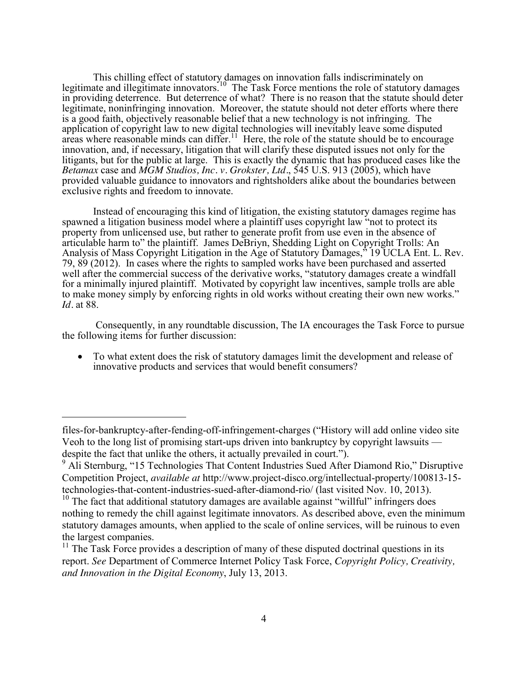This chilling effect of statutory damages on innovation falls indiscriminately on legitimate and illegitimate innovators.<sup>10</sup> The Task Force mentions the role of statutory damages in providing deterrence. But deterrence of what? There is no reason that the statute should deter legitimate, noninfringing innovation. Moreover, the statute should not deter efforts where there is a good faith, objectively reasonable belief that a new technology is not infringing. The application of copyright law to new digital technologies will inevitably leave some disputed areas where reasonable minds can differ.<sup>11</sup> Here, the role of the statute should be to encourage innovation, and, if necessary, litigation that will clarify these disputed issues not only for the litigants, but for the public at large. This is exactly the dynamic that has produced cases like the *Betamax* case and *MGM Studios, Inc. v. Grokster, Ltd.*, 545 U.S. 913 (2005), which have provided valuable guidance to innovators and rightsholders alike about the boundaries between exclusive rights and freedom to innovate.

Instead of encouraging this kind of litigation, the existing statutory damages regime has spawned a litigation business model where a plaintiff uses copyright law "not to protect its property from unlicensed use, but rather to generate profit from use even in the absence of articulable harm to" the plaintiff. James DeBriyn, Shedding Light on Copyright Trolls: An Analysis of Mass Copyright Litigation in the Age of Statutory Damages," 19 UCLA Ent. L. Rev. 79, 89 (2012). In cases where the rights to sampled works have been purchased and asserted well after the commercial success of the derivative works, "statutory damages create a windfall for a minimally injured plaintiff. Motivated by copyright law incentives, sample trolls are able to make money simply by enforcing rights in old works without creating their own new works." *Id.* at 88.

Consequently, in any roundtable discussion, The IA encourages the Task Force to pursue the following items for further discussion:

• To what extent does the risk of statutory damages limit the development and release of innovative products and services that would benefit consumers?

 $\overline{a}$ 

files-for-bankruptcy-after-fending-off-infringement-charges ("History will add online video site Veoh to the long list of promising start-ups driven into bankruptcy by copyright lawsuits despite the fact that unlike the others, it actually prevailed in court.").

<sup>&</sup>lt;sup>9</sup> Ali Sternburg, "15 Technologies That Content Industries Sued After Diamond Rio," Disruptive Competition Project, *available at* http://www.project-disco.org/intellectual-property/100813-15 technologies-that-content-industries-sued-after-diamond-rio/ (last visited Nov. 10, 2013).

<sup>&</sup>lt;sup>10</sup> The fact that additional statutory damages are available against "willful" infringers does nothing to remedy the chill against legitimate innovators. As described above, even the minimum statutory damages amounts, when applied to the scale of online services, will be ruinous to even the largest companies.

 $11$  The Task Force provides a description of many of these disputed doctrinal questions in its report. *See* Department of Commerce Internet Policy Task Force, *Copyright Policy, Creativity, and Innovation in the Digital Economy*, July 13, 2013.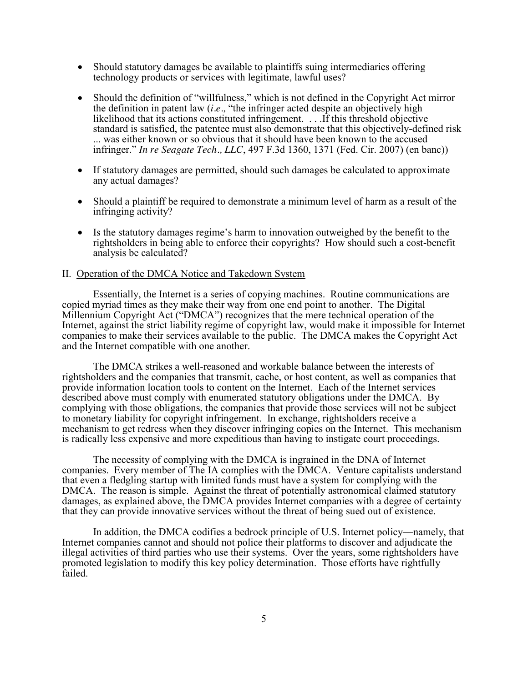- Should statutory damages be available to plaintiffs suing intermediaries offering technology products or services with legitimate, lawful uses?
- Should the definition of "willfulness," which is not defined in the Copyright Act mirror the definition in patent law (*i.e.,* "the infringer acted despite an objectively high likelihood that its actions constituted infringement. . . .If this threshold objective standard is satisfied, the patentee must also demonstrate that this objectively-defined risk ... was either known or so obvious that it should have been known to the accused infringer." *In re Seagate Tech., LLC*, 497 F.3d 1360, 1371 (Fed. Cir. 2007) (en banc))
- If statutory damages are permitted, should such damages be calculated to approximate any actual damages?
- Should a plaintiff be required to demonstrate a minimum level of harm as a result of the infringing activity?
- Is the statutory damages regime's harm to innovation outweighed by the benefit to the rightsholders in being able to enforce their copyrights? How should such a cost-benefit analysis be calculated?

#### II. Operation of the DMCA Notice and Takedown System

Essentially, the Internet is a series of copying machines. Routine communications are copied myriad times as they make their way from one end point to another. The Digital Millennium Copyright Act ("DMCA") recognizes that the mere technical operation of the Internet, against the strict liability regime of copyright law, would make it impossible for Internet companies to make their services available to the public. The DMCA makes the Copyright Act and the Internet compatible with one another.

The DMCA strikes a well-reasoned and workable balance between the interests of rightsholders and the companies that transmit, cache, or host content, as well as companies that provide information location tools to content on the Internet. Each of the Internet services described above must comply with enumerated statutory obligations under the DMCA. By complying with those obligations, the companies that provide those services will not be subject to monetary liability for copyright infringement. In exchange, rightsholders receive a mechanism to get redress when they discover infringing copies on the Internet. This mechanism is radically less expensive and more expeditious than having to instigate court proceedings.

The necessity of complying with the DMCA is ingrained in the DNA of Internet companies. Every member of The IA complies with the DMCA. Venture capitalists understand that even a fledgling startup with limited funds must have a system for complying with the DMCA. The reason is simple. Against the threat of potentially astronomical claimed statutory damages, as explained above, the DMCA provides Internet companies with a degree of certainty that they can provide innovative services without the threat of being sued out of existence.

In addition, the DMCA codifies a bedrock principle of U.S. Internet policy—namely, that Internet companies cannot and should not police their platforms to discover and adjudicate the illegal activities of third parties who use their systems. Over the years, some rightsholders have promoted legislation to modify this key policy determination. Those efforts have rightfully failed.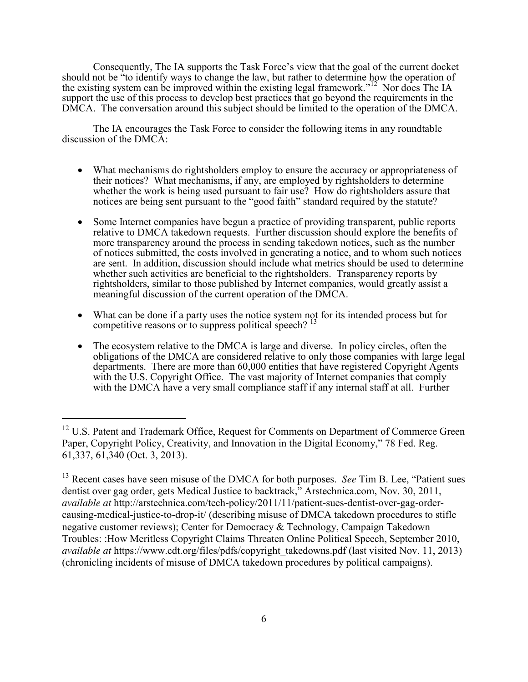Consequently, The IA supports the Task Force's view that the goal of the current docket should not be "to identify ways to change the law, but rather to determine how the operation of the existing system can be improved within the existing legal framework."<sup>12</sup> Nor does The IA support the use of this process to develop best practices that go beyond the requirements in the DMCA. The conversation around this subject should be limited to the operation of the DMCA.

The IA encourages the Task Force to consider the following items in any roundtable discussion of the DMCA:

- What mechanisms do rightsholders employ to ensure the accuracy or appropriateness of their notices? What mechanisms, if any, are employed by rightsholders to determine whether the work is being used pursuant to fair use? How do rightsholders assure that notices are being sent pursuant to the "good faith" standard required by the statute?
- Some Internet companies have begun a practice of providing transparent, public reports relative to DMCA takedown requests. Further discussion should explore the benefits of more transparency around the process in sending takedown notices, such as the number of notices submitted, the costs involved in generating a notice, and to whom such notices are sent. In addition, discussion should include what metrics should be used to determine whether such activities are beneficial to the rightsholders. Transparency reports by rightsholders, similar to those published by Internet companies, would greatly assist a meaningful discussion of the current operation of the DMCA.
- What can be done if a party uses the notice system not for its intended process but for competitive reasons or to suppress political speech?  $13$
- $\bullet$  The ecosystem relative to the DMCA is large and diverse. In policy circles, often the obligations of the DMCA are considered relative to only those companies with large legal departments. There are more than 60,000 entities that have registered Copyright Agents with the U.S. Copyright Office. The vast majority of Internet companies that comply with the DMCA have a very small compliance staff if any internal staff at all. Further

<sup>&</sup>lt;sup>12</sup> U.S. Patent and Trademark Office, Request for Comments on Department of Commerce Green Paper, Copyright Policy, Creativity, and Innovation in the Digital Economy," 78 Fed. Reg. 61,337, 61,340 (Oct. 3, 2013).

<sup>&</sup>lt;sup>13</sup> Recent cases have seen misuse of the DMCA for both purposes. *See* Tim B. Lee, "Patient sues dentist over gag order, gets Medical Justice to backtrack," Arstechnica.com, Nov. 30, 2011, *available at* http://arstechnica.com/tech-policy/2011/11/patient-sues-dentist-over-gag-ordercausing-medical-justice-to-drop-it/ (describing misuse of DMCA takedown procedures to stifle negative customer reviews); Center for Democracy & Technology, Campaign Takedown Troubles: :How Meritless Copyright Claims Threaten Online Political Speech, September 2010, *available at https://www.cdt.org/files/pdfs/copyright\_takedowns.pdf (last visited Nov. 11, 2013)* (chronicling incidents of misuse of DMCA takedown procedures by political campaigns).